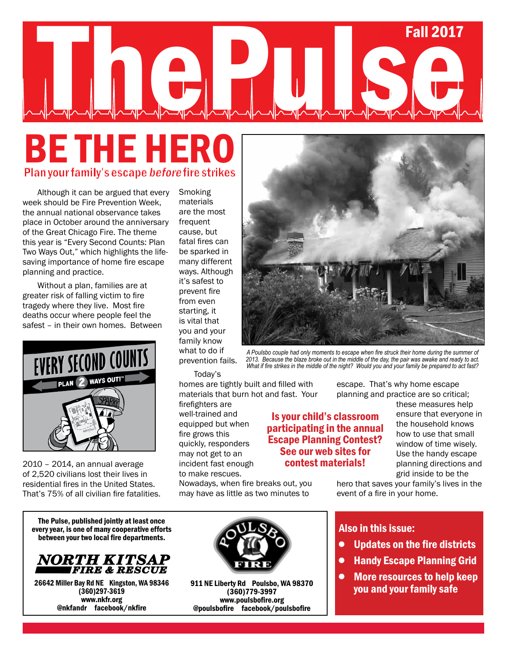# Summer 2013 **Fall 2017** The Pulse of the Contract of the Contract of the Contract of the Contract of the Contract of the Contract of the Contract of the Contract of the Contract of the Contract of the Contract of the Contract of the Contract of t

### Be THE hero Plan your family's escape before fire strikes

Although it can be argued that every week should be Fire Prevention Week, the annual national observance takes place in October around the anniversary of the Great Chicago Fire. The theme this year is "Every Second Counts: Plan Two Ways Out," which highlights the lifesaving importance of home fire escape planning and practice.

Without a plan, families are at greater risk of falling victim to fire tragedy where they live. Most fire deaths occur where people feel the safest – in their own homes. Between



2010 – 2014, an annual average of 2,520 civilians lost their lives in residential fires in the United States. That's 75% of all civilian fire fatalities.

The Pulse, published jointly at least once every year, is one of many cooperative efforts between your two local fire departments.



26642 Miller Bay Rd NE Kingston, WA 98346 (360)297-3619 www.nkfr.org @nkfandr facebook/nkfire



Today's

homes are tightly built and filled with materials that burn hot and fast. Your

firefighters are well-trained and equipped but when fire grows this quickly, responders may not get to an incident fast enough to make rescues.

Nowadays, when fire breaks out, you may have as little as two minutes to



*A Poulsbo couple had only moments to escape when fire struck their home during the summer of 2013. Because the blaze broke out in the middle of the day, the pair was awake and ready to act. What if fire strikes in the middle of the night? Would you and your family be prepared to act fast?* 

escape. That's why home escape planning and practice are so critical;

Is your child's classroom participating in the annual Escape Planning Contest? See our web sites for contest materials!

these measures help ensure that everyone in the household knows how to use that small window of time wisely. Use the handy escape planning directions and grid inside to be the

hero that saves your family's lives in the event of a fire in your home.

#### Also in this issue:

- Updates on the fire districts  $\bullet$
- Handy Escape Planning Grid  $\bullet$
- More resources to help keep you and your family safe  $\bullet$



911 NE Liberty Rd Poulsbo, WA 98370 (360)779-3997 www.poulsbofire.org @poulsbofire facebook/poulsbofire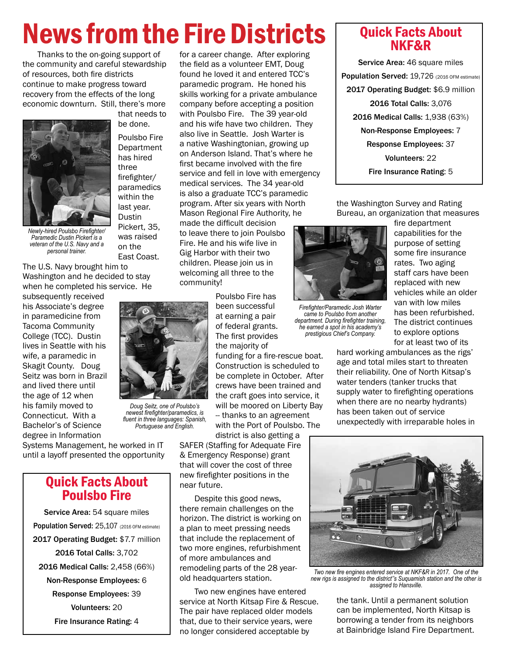# News from the Fire Districts Quick Facts About

Thanks to the on-going support of the community and careful stewardship of resources, both fire districts continue to make progress toward recovery from the effects of the long economic downturn. Still, there's more



*Newly-hired Poulsbo Firefighter/ Paramedic Dustin Pickert is a veteran of the U.S. Navy and a personal trainer.* 

The U.S. Navy brought him to Washington and he decided to stay when he completed his service. He

subsequently received his Associate's degree in paramedicine from Tacoma Community College (TCC). Dustin lives in Seattle with his wife, a paramedic in Skagit County. Doug Seitz was born in Brazil and lived there until the age of 12 when his family moved to Connecticut. With a Bachelor's of Science degree in Information

Poulsbo Fire **Department** has hired three firefighter/ paramedics within the last year. **Dustin** Pickert, 35, was raised on the East Coast.

that needs to be done.

the field as a volunteer EMT, Doug found he loved it and entered TCC's paramedic program. He honed his skills working for a private ambulance company before accepting a position with Poulsbo Fire. The 39 year-old and his wife have two children. They also live in Seattle. Josh Warter is a native Washingtonian, growing up on Anderson Island. That's where he first became involved with the fire service and fell in love with emergency medical services. The 34 year-old is also a graduate TCC's paramedic program. After six years with North Mason Regional Fire Authority, he made the difficult decision to leave there to join Poulsbo

for a career change. After exploring

Fire. He and his wife live in Gig Harbor with their two children. Please join us in welcoming all three to the community!

> Poulsbo Fire has been successful at earning a pair of federal grants. The first provides the majority of

funding for a fire-rescue boat. Construction is scheduled to be complete in October. After crews have been trained and the craft goes into service, it will be moored on Liberty Bay -- thanks to an agreement with the Port of Poulsbo. The district is also getting a

SAFER (Staffing for Adequate Fire & Emergency Response) grant that will cover the cost of three new firefighter positions in the near future.

Despite this good news, there remain challenges on the horizon. The district is working on a plan to meet pressing needs that include the replacement of two more engines, refurbishment of more ambulances and remodeling parts of the 28 yearold headquarters station.

Two new engines have entered service at North Kitsap Fire & Rescue. The pair have replaced older models that, due to their service years, were no longer considered acceptable by

## NKF&R

Service Area: 46 square miles Population Served: 19,726 (2016 OFM estimate) 2017 Operating Budget: \$6.9 million 2016 Total Calls: 3,076 2016 Medical Calls: 1,938 (63%) Non-Response Employees: 7 Response Employees: 37 Volunteers: 22 Fire Insurance Rating: 5

the Washington Survey and Rating Bureau, an organization that measures



*Firefighter/Paramedic Josh Warter came to Poulsbo from another department. During firefighter training, he earned a spot in his academy's prestigious Chief's Company.* 

fire department capabilities for the purpose of setting some fire insurance rates. Two aging staff cars have been replaced with new vehicles while an older van with low miles has been refurbished. The district continues to explore options for at least two of its

hard working ambulances as the rigs' age and total miles start to threaten their reliability. One of North Kitsap's water tenders (tanker trucks that supply water to firefighting operations when there are no nearby hydrants) has been taken out of service unexpectedly with irreparable holes in



*Two new fire engines entered service at NKF&R in 2017. One of the new rigs is assigned to the district''s Suquamish station and the other is assigned to Hansville.* 

the tank. Until a permanent solution can be implemented, North Kitsap is borrowing a tender from its neighbors at Bainbridge Island Fire Department.

*Doug Seitz, one of Poulsbo's newest firefighter/paramedics, is fluent in three languages: Spanish, Portuguese and English.*

Systems Management, he worked in IT until a layoff presented the opportunity

#### Quick Facts About Poulsbo Fire

Service Area: 54 square miles Population Served: 25,107 (2016 OFM estimate) 2017 Operating Budget: \$7.7 million 2016 Total Calls: 3,702 2016 Medical Calls: 2,458 (66%) Non-Response Employees: 6 Response Employees: 39 Volunteers: 20 Fire Insurance Rating: 4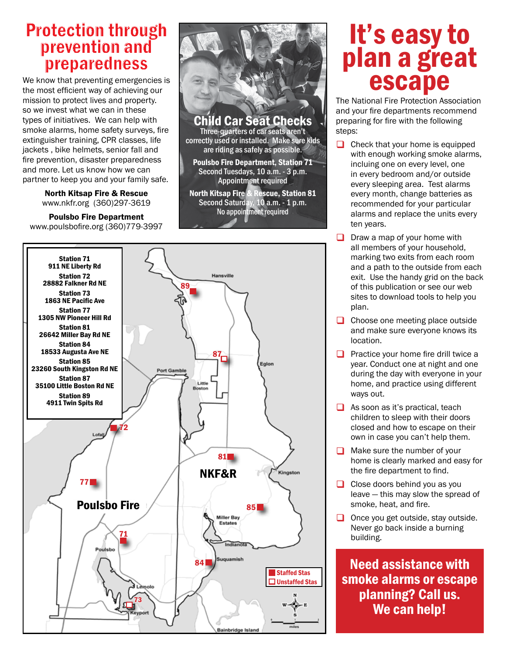### Protection through prevention and preparedness

We know that preventing emergencies is the most efficient way of achieving our mission to protect lives and property. so we invest what we can in these types of initiatives. We can help with smoke alarms, home safety surveys, fire extinguisher training, CPR classes, life jackets , bike helmets, senior fall and fire prevention, disaster preparedness and more. Let us know how we can partner to keep you and your family safe.

> North Kitsap Fire & Rescue www.nkfr.org (360)297-3619

### Poulsbo Fire Department

www.poulsbofire.org (360)779-3997



Child Car Seat Checks Three-quarters of car seats aren't

correctly used or installed. Make sure kids are riding as safely as possible.

Poulsbo Fire Department, Station 71 Second Tuesdays, 10 a.m. - 3 p.m. Appointment required

North Kitsap Fire & Rescue, Station 81 Second Saturday, 10 a.m. - 1 p.m. No appointment required



### It's easy to plan a great escape

The National Fire Protection Association and your fire departments recommend preparing for fire with the following steps:

- $\Box$  Check that your home is equipped with enough working smoke alarms, incluing one on every level, one in every bedroom and/or outside every sleeping area. Test alarms every month, change batteries as recommended for your particular alarms and replace the units every ten years.
- $\Box$  Draw a map of your home with all members of your household, marking two exits from each room and a path to the outside from each exit. Use the handy grid on the back of this publication or see our web sites to download tools to help you plan.
- Choose one meeting place outside and make sure everyone knows its location.
- **Practice your home fire drill twice a** year. Conduct one at night and one during the day with everyone in your home, and practice using different ways out.
- $\Box$  As soon as it's practical, teach children to sleep with their doors closed and how to escape on their own in case you can't help them.
- Make sure the number of your home is clearly marked and easy for the fire department to find.
- Close doors behind you as you leave — this may slow the spread of smoke, heat, and fire.
- $\Box$  Once you get outside, stay outside. Never go back inside a burning building.

Need assistance with smoke alarms or escape planning? Call us. We can help!